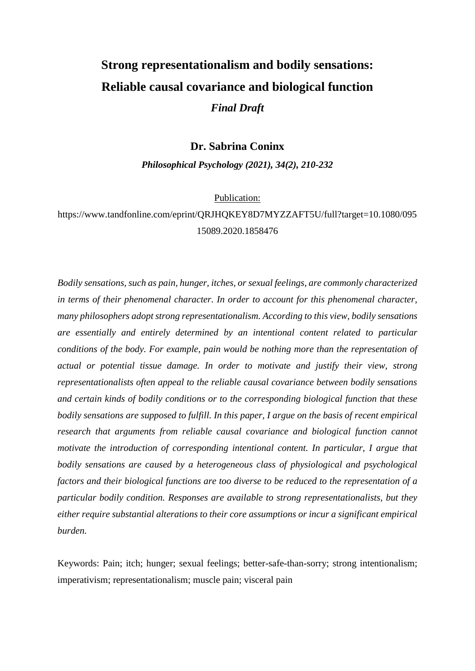# **Strong representationalism and bodily sensations: Reliable causal covariance and biological function** *Final Draft*

## **Dr. Sabrina Coninx**

*[Philosophical Psychology \(2021\),](https://www.tandfonline.com/doi/full/10.1080/09515089.2020.1858476) 34(2), 210-232*

Publication:

# https://www.tandfonline.com/eprint/QRJHQKEY8D7MYZZAFT5U/full?target=10.1080/095 15089.2020.1858476

*Bodily sensations, such as pain, hunger, itches, or sexual feelings, are commonly characterized in terms of their phenomenal character. In order to account for this phenomenal character, many philosophers adopt strong representationalism. According to this view, bodily sensations are essentially and entirely determined by an intentional content related to particular conditions of the body. For example, pain would be nothing more than the representation of actual or potential tissue damage. In order to motivate and justify their view, strong representationalists often appeal to the reliable causal covariance between bodily sensations and certain kinds of bodily conditions or to the corresponding biological function that these bodily sensations are supposed to fulfill. In this paper, I argue on the basis of recent empirical research that arguments from reliable causal covariance and biological function cannot motivate the introduction of corresponding intentional content. In particular, I argue that bodily sensations are caused by a heterogeneous class of physiological and psychological factors and their biological functions are too diverse to be reduced to the representation of a particular bodily condition. Responses are available to strong representationalists, but they either require substantial alterations to their core assumptions or incur a significant empirical burden.*

Keywords: Pain; itch; hunger; sexual feelings; better-safe-than-sorry; strong intentionalism; imperativism; representationalism; muscle pain; visceral pain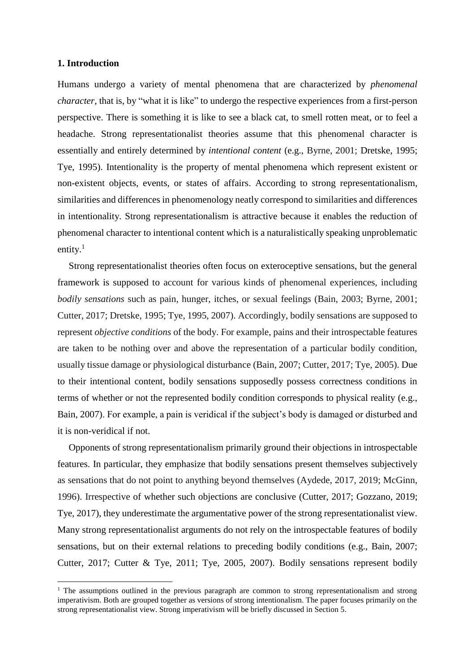#### **1. Introduction**

 $\overline{a}$ 

Humans undergo a variety of mental phenomena that are characterized by *phenomenal character*, that is, by "what it is like" to undergo the respective experiences from a first-person perspective. There is something it is like to see a black cat, to smell rotten meat, or to feel a headache. Strong representationalist theories assume that this phenomenal character is essentially and entirely determined by *intentional content* (e.g., Byrne, 2001; Dretske, 1995; Tye, 1995). Intentionality is the property of mental phenomena which represent existent or non-existent objects, events, or states of affairs. According to strong representationalism, similarities and differences in phenomenology neatly correspond to similarities and differences in intentionality. Strong representationalism is attractive because it enables the reduction of phenomenal character to intentional content which is a naturalistically speaking unproblematic entity. $1$ 

Strong representationalist theories often focus on exteroceptive sensations, but the general framework is supposed to account for various kinds of phenomenal experiences, including *bodily sensations* such as pain, hunger, itches, or sexual feelings (Bain, 2003; Byrne, 2001; Cutter, 2017; Dretske, 1995; Tye, 1995, 2007). Accordingly, bodily sensations are supposed to represent *objective conditions* of the body. For example, pains and their introspectable features are taken to be nothing over and above the representation of a particular bodily condition, usually tissue damage or physiological disturbance (Bain, 2007; Cutter, 2017; Tye, 2005). Due to their intentional content, bodily sensations supposedly possess correctness conditions in terms of whether or not the represented bodily condition corresponds to physical reality (e.g., Bain, 2007). For example, a pain is veridical if the subject's body is damaged or disturbed and it is non-veridical if not.

Opponents of strong representationalism primarily ground their objections in introspectable features. In particular, they emphasize that bodily sensations present themselves subjectively as sensations that do not point to anything beyond themselves (Aydede, 2017, 2019; McGinn, 1996). Irrespective of whether such objections are conclusive (Cutter, 2017; Gozzano, 2019; Tye, 2017), they underestimate the argumentative power of the strong representationalist view. Many strong representationalist arguments do not rely on the introspectable features of bodily sensations, but on their external relations to preceding bodily conditions (e.g., Bain, 2007; Cutter, 2017; Cutter & Tye, 2011; Tye, 2005, 2007). Bodily sensations represent bodily

 $1$ . The assumptions outlined in the previous paragraph are common to strong representationalism and strong imperativism. Both are grouped together as versions of strong intentionalism. The paper focuses primarily on the strong representationalist view. Strong imperativism will be briefly discussed in Section 5.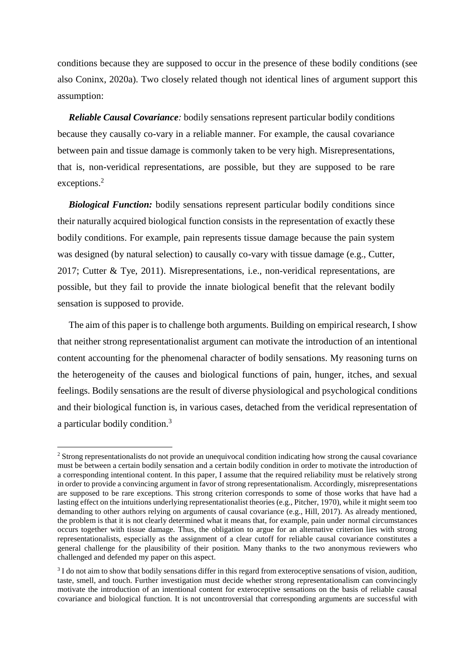conditions because they are supposed to occur in the presence of these bodily conditions (see also Coninx, 2020a). Two closely related though not identical lines of argument support this assumption:

*Reliable Causal Covariance:* bodily sensations represent particular bodily conditions because they causally co-vary in a reliable manner. For example, the causal covariance between pain and tissue damage is commonly taken to be very high. Misrepresentations, that is, non-veridical representations, are possible, but they are supposed to be rare exceptions.<sup>2</sup>

*Biological Function:* bodily sensations represent particular bodily conditions since their naturally acquired biological function consists in the representation of exactly these bodily conditions. For example, pain represents tissue damage because the pain system was designed (by natural selection) to causally co-vary with tissue damage (e.g., Cutter, 2017; Cutter & Tye, 2011). Misrepresentations, i.e., non-veridical representations, are possible, but they fail to provide the innate biological benefit that the relevant bodily sensation is supposed to provide.

The aim of this paper is to challenge both arguments. Building on empirical research, I show that neither strong representationalist argument can motivate the introduction of an intentional content accounting for the phenomenal character of bodily sensations. My reasoning turns on the heterogeneity of the causes and biological functions of pain, hunger, itches, and sexual feelings. Bodily sensations are the result of diverse physiological and psychological conditions and their biological function is, in various cases, detached from the veridical representation of a particular bodily condition.<sup>3</sup>

**.** 

<sup>&</sup>lt;sup>2</sup> Strong representationalists do not provide an unequivocal condition indicating how strong the causal covariance must be between a certain bodily sensation and a certain bodily condition in order to motivate the introduction of a corresponding intentional content. In this paper, I assume that the required reliability must be relatively strong in order to provide a convincing argument in favor of strong representationalism. Accordingly, misrepresentations are supposed to be rare exceptions. This strong criterion corresponds to some of those works that have had a lasting effect on the intuitions underlying representationalist theories (e.g., Pitcher, 1970), while it might seem too demanding to other authors relying on arguments of causal covariance (e.g., Hill, 2017). As already mentioned, the problem is that it is not clearly determined what it means that, for example, pain under normal circumstances occurs together with tissue damage. Thus, the obligation to argue for an alternative criterion lies with strong representationalists, especially as the assignment of a clear cutoff for reliable causal covariance constitutes a general challenge for the plausibility of their position. Many thanks to the two anonymous reviewers who challenged and defended my paper on this aspect.

<sup>&</sup>lt;sup>3</sup> I do not aim to show that bodily sensations differ in this regard from exteroceptive sensations of vision, audition, taste, smell, and touch. Further investigation must decide whether strong representationalism can convincingly motivate the introduction of an intentional content for exteroceptive sensations on the basis of reliable causal covariance and biological function. It is not uncontroversial that corresponding arguments are successful with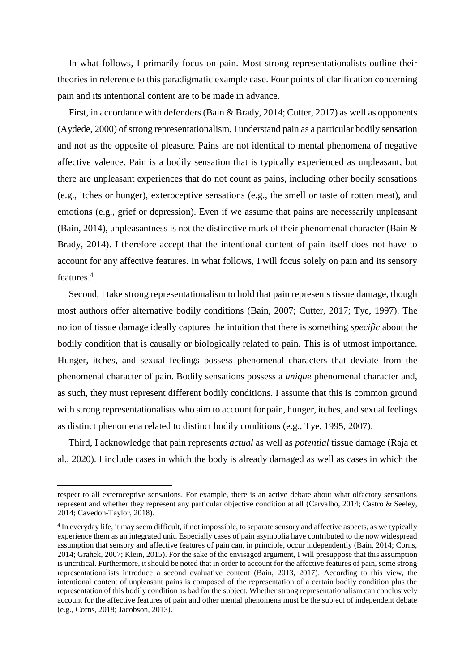In what follows, I primarily focus on pain. Most strong representationalists outline their theories in reference to this paradigmatic example case. Four points of clarification concerning pain and its intentional content are to be made in advance.

First, in accordance with defenders (Bain & Brady, 2014; Cutter, 2017) as well as opponents (Aydede, 2000) of strong representationalism, I understand pain as a particular bodily sensation and not as the opposite of pleasure. Pains are not identical to mental phenomena of negative affective valence. Pain is a bodily sensation that is typically experienced as unpleasant, but there are unpleasant experiences that do not count as pains, including other bodily sensations (e.g., itches or hunger), exteroceptive sensations (e.g., the smell or taste of rotten meat), and emotions (e.g., grief or depression). Even if we assume that pains are necessarily unpleasant (Bain, 2014), unpleasantness is not the distinctive mark of their phenomenal character (Bain & Brady, 2014). I therefore accept that the intentional content of pain itself does not have to account for any affective features. In what follows, I will focus solely on pain and its sensory features.<sup>4</sup>

Second, I take strong representationalism to hold that pain represents tissue damage, though most authors offer alternative bodily conditions (Bain, 2007; Cutter, 2017; Tye, 1997). The notion of tissue damage ideally captures the intuition that there is something *specific* about the bodily condition that is causally or biologically related to pain. This is of utmost importance. Hunger, itches, and sexual feelings possess phenomenal characters that deviate from the phenomenal character of pain. Bodily sensations possess a *unique* phenomenal character and, as such, they must represent different bodily conditions. I assume that this is common ground with strong representationalists who aim to account for pain, hunger, itches, and sexual feelings as distinct phenomena related to distinct bodily conditions (e.g., Tye, 1995, 2007).

Third, I acknowledge that pain represents *actual* as well as *potential* tissue damage (Raja et al., 2020). I include cases in which the body is already damaged as well as cases in which the

**.** 

respect to all exteroceptive sensations. For example, there is an active debate about what olfactory sensations represent and whether they represent any particular objective condition at all (Carvalho, 2014; Castro & Seeley, 2014; Cavedon-Taylor, 2018).

<sup>4</sup> In everyday life, it may seem difficult, if not impossible, to separate sensory and affective aspects, as we typically experience them as an integrated unit. Especially cases of pain asymbolia have contributed to the now widespread assumption that sensory and affective features of pain can, in principle, occur independently (Bain, 2014; Corns, 2014; Grahek, 2007; Klein, 2015). For the sake of the envisaged argument, I will presuppose that this assumption is uncritical. Furthermore, it should be noted that in order to account for the affective features of pain, some strong representationalists introduce a second evaluative content (Bain, 2013, 2017). According to this view, the intentional content of unpleasant pains is composed of the representation of a certain bodily condition plus the representation of this bodily condition as bad for the subject. Whether strong representationalism can conclusively account for the affective features of pain and other mental phenomena must be the subject of independent debate (e.g., Corns, 2018; Jacobson, 2013).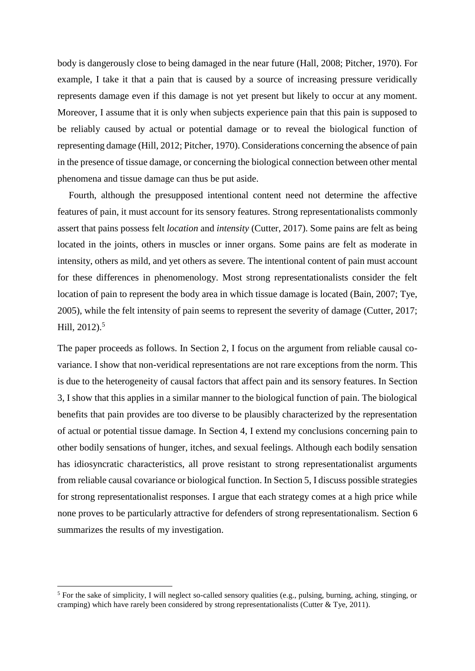body is dangerously close to being damaged in the near future (Hall, 2008; Pitcher, 1970). For example, I take it that a pain that is caused by a source of increasing pressure veridically represents damage even if this damage is not yet present but likely to occur at any moment. Moreover, I assume that it is only when subjects experience pain that this pain is supposed to be reliably caused by actual or potential damage or to reveal the biological function of representing damage (Hill, 2012; Pitcher, 1970). Considerations concerning the absence of pain in the presence of tissue damage, or concerning the biological connection between other mental phenomena and tissue damage can thus be put aside.

Fourth, although the presupposed intentional content need not determine the affective features of pain, it must account for its sensory features. Strong representationalists commonly assert that pains possess felt *location* and *intensity* (Cutter, 2017). Some pains are felt as being located in the joints, others in muscles or inner organs. Some pains are felt as moderate in intensity, others as mild, and yet others as severe. The intentional content of pain must account for these differences in phenomenology. Most strong representationalists consider the felt location of pain to represent the body area in which tissue damage is located (Bain, 2007; Tye, 2005), while the felt intensity of pain seems to represent the severity of damage (Cutter, 2017; Hill, 2012). 5

The paper proceeds as follows. In Section 2, I focus on the argument from reliable causal covariance. I show that non-veridical representations are not rare exceptions from the norm. This is due to the heterogeneity of causal factors that affect pain and its sensory features. In Section 3, I show that this applies in a similar manner to the biological function of pain. The biological benefits that pain provides are too diverse to be plausibly characterized by the representation of actual or potential tissue damage. In Section 4, I extend my conclusions concerning pain to other bodily sensations of hunger, itches, and sexual feelings. Although each bodily sensation has idiosyncratic characteristics, all prove resistant to strong representationalist arguments from reliable causal covariance or biological function. In Section 5, I discuss possible strategies for strong representationalist responses. I argue that each strategy comes at a high price while none proves to be particularly attractive for defenders of strong representationalism. Section 6 summarizes the results of my investigation.

1

<sup>&</sup>lt;sup>5</sup> For the sake of simplicity, I will neglect so-called sensory qualities (e.g., pulsing, burning, aching, stinging, or cramping) which have rarely been considered by strong representationalists (Cutter & Tye, 2011).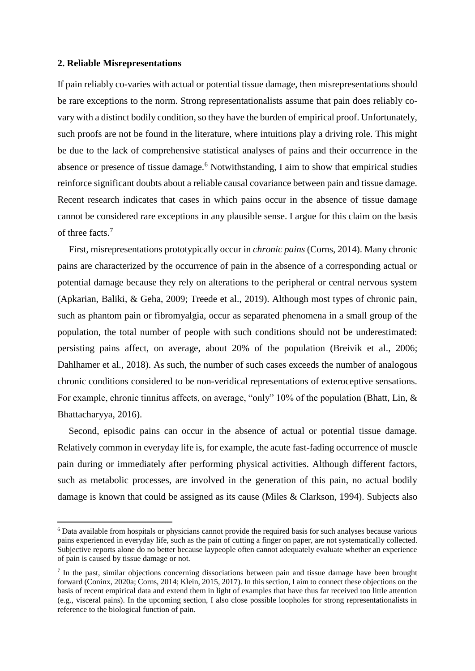#### **2. Reliable Misrepresentations**

 $\overline{a}$ 

If pain reliably co-varies with actual or potential tissue damage, then misrepresentations should be rare exceptions to the norm. Strong representationalists assume that pain does reliably covary with a distinct bodily condition, so they have the burden of empirical proof. Unfortunately, such proofs are not be found in the literature, where intuitions play a driving role. This might be due to the lack of comprehensive statistical analyses of pains and their occurrence in the absence or presence of tissue damage.<sup>6</sup> Notwithstanding, I aim to show that empirical studies reinforce significant doubts about a reliable causal covariance between pain and tissue damage. Recent research indicates that cases in which pains occur in the absence of tissue damage cannot be considered rare exceptions in any plausible sense. I argue for this claim on the basis of three facts.<sup>7</sup>

First, misrepresentations prototypically occur in *chronic pains* (Corns, 2014). Many chronic pains are characterized by the occurrence of pain in the absence of a corresponding actual or potential damage because they rely on alterations to the peripheral or central nervous system (Apkarian, Baliki, & Geha, 2009; Treede et al., 2019). Although most types of chronic pain, such as phantom pain or fibromyalgia, occur as separated phenomena in a small group of the population, the total number of people with such conditions should not be underestimated: persisting pains affect, on average, about 20% of the population (Breivik et al., 2006; Dahlhamer et al., 2018). As such, the number of such cases exceeds the number of analogous chronic conditions considered to be non-veridical representations of exteroceptive sensations. For example, chronic tinnitus affects, on average, "only" 10% of the population (Bhatt, Lin, & Bhattacharyya, 2016).

Second, episodic pains can occur in the absence of actual or potential tissue damage. Relatively common in everyday life is, for example, the acute fast-fading occurrence of muscle pain during or immediately after performing physical activities. Although different factors, such as metabolic processes, are involved in the generation of this pain, no actual bodily damage is known that could be assigned as its cause (Miles & Clarkson, 1994). Subjects also

<sup>6</sup> Data available from hospitals or physicians cannot provide the required basis for such analyses because various pains experienced in everyday life, such as the pain of cutting a finger on paper, are not systematically collected. Subjective reports alone do no better because laypeople often cannot adequately evaluate whether an experience of pain is caused by tissue damage or not.

<sup>&</sup>lt;sup>7</sup> In the past, similar objections concerning dissociations between pain and tissue damage have been brought forward (Coninx, 2020a; Corns, 2014; Klein, 2015, 2017). In this section, I aim to connect these objections on the basis of recent empirical data and extend them in light of examples that have thus far received too little attention (e.g., visceral pains). In the upcoming section, I also close possible loopholes for strong representationalists in reference to the biological function of pain.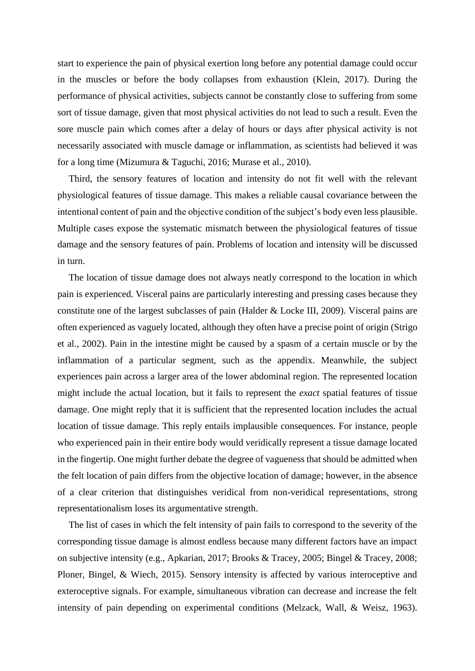start to experience the pain of physical exertion long before any potential damage could occur in the muscles or before the body collapses from exhaustion (Klein, 2017). During the performance of physical activities, subjects cannot be constantly close to suffering from some sort of tissue damage, given that most physical activities do not lead to such a result. Even the sore muscle pain which comes after a delay of hours or days after physical activity is not necessarily associated with muscle damage or inflammation, as scientists had believed it was for a long time (Mizumura & Taguchi, 2016; Murase et al., 2010).

Third, the sensory features of location and intensity do not fit well with the relevant physiological features of tissue damage. This makes a reliable causal covariance between the intentional content of pain and the objective condition of the subject's body even less plausible. Multiple cases expose the systematic mismatch between the physiological features of tissue damage and the sensory features of pain. Problems of location and intensity will be discussed in turn.

The location of tissue damage does not always neatly correspond to the location in which pain is experienced. Visceral pains are particularly interesting and pressing cases because they constitute one of the largest subclasses of pain (Halder & Locke III, 2009). Visceral pains are often experienced as vaguely located, although they often have a precise point of origin (Strigo et al., 2002). Pain in the intestine might be caused by a spasm of a certain muscle or by the inflammation of a particular segment, such as the appendix. Meanwhile, the subject experiences pain across a larger area of the lower abdominal region. The represented location might include the actual location, but it fails to represent the *exact* spatial features of tissue damage. One might reply that it is sufficient that the represented location includes the actual location of tissue damage. This reply entails implausible consequences. For instance, people who experienced pain in their entire body would veridically represent a tissue damage located in the fingertip. One might further debate the degree of vagueness that should be admitted when the felt location of pain differs from the objective location of damage; however, in the absence of a clear criterion that distinguishes veridical from non-veridical representations, strong representationalism loses its argumentative strength.

The list of cases in which the felt intensity of pain fails to correspond to the severity of the corresponding tissue damage is almost endless because many different factors have an impact on subjective intensity (e.g., Apkarian, 2017; Brooks & Tracey, 2005; Bingel & Tracey, 2008; Ploner, Bingel, & Wiech, 2015). Sensory intensity is affected by various interoceptive and exteroceptive signals. For example, simultaneous vibration can decrease and increase the felt intensity of pain depending on experimental conditions (Melzack, Wall, & Weisz, 1963).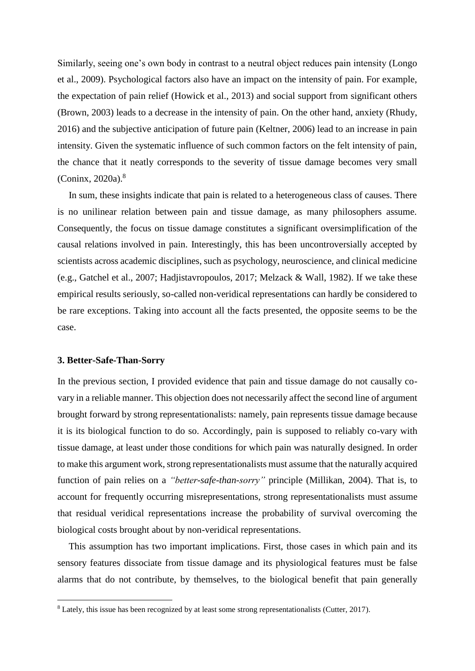Similarly, seeing one's own body in contrast to a neutral object reduces pain intensity (Longo et al., 2009). Psychological factors also have an impact on the intensity of pain. For example, the expectation of pain relief (Howick et al., 2013) and social support from significant others (Brown, 2003) leads to a decrease in the intensity of pain. On the other hand, anxiety (Rhudy, 2016) and the subjective anticipation of future pain (Keltner, 2006) lead to an increase in pain intensity. Given the systematic influence of such common factors on the felt intensity of pain, the chance that it neatly corresponds to the severity of tissue damage becomes very small (Coninx, 2020a).<sup>8</sup>

In sum, these insights indicate that pain is related to a heterogeneous class of causes. There is no unilinear relation between pain and tissue damage, as many philosophers assume. Consequently, the focus on tissue damage constitutes a significant oversimplification of the causal relations involved in pain. Interestingly, this has been uncontroversially accepted by scientists across academic disciplines, such as psychology, neuroscience, and clinical medicine (e.g., Gatchel et al., 2007; Hadjistavropoulos, 2017; Melzack & Wall, 1982). If we take these empirical results seriously, so-called non-veridical representations can hardly be considered to be rare exceptions. Taking into account all the facts presented, the opposite seems to be the case.

#### **3. Better-Safe-Than-Sorry**

**.** 

In the previous section, I provided evidence that pain and tissue damage do not causally covary in a reliable manner. This objection does not necessarily affect the second line of argument brought forward by strong representationalists: namely, pain represents tissue damage because it is its biological function to do so. Accordingly, pain is supposed to reliably co-vary with tissue damage, at least under those conditions for which pain was naturally designed. In order to make this argument work, strong representationalists must assume that the naturally acquired function of pain relies on a *"better-safe-than-sorry"* principle (Millikan, 2004). That is, to account for frequently occurring misrepresentations, strong representationalists must assume that residual veridical representations increase the probability of survival overcoming the biological costs brought about by non-veridical representations.

This assumption has two important implications. First, those cases in which pain and its sensory features dissociate from tissue damage and its physiological features must be false alarms that do not contribute, by themselves, to the biological benefit that pain generally

<sup>8</sup> Lately, this issue has been recognized by at least some strong representationalists (Cutter, 2017).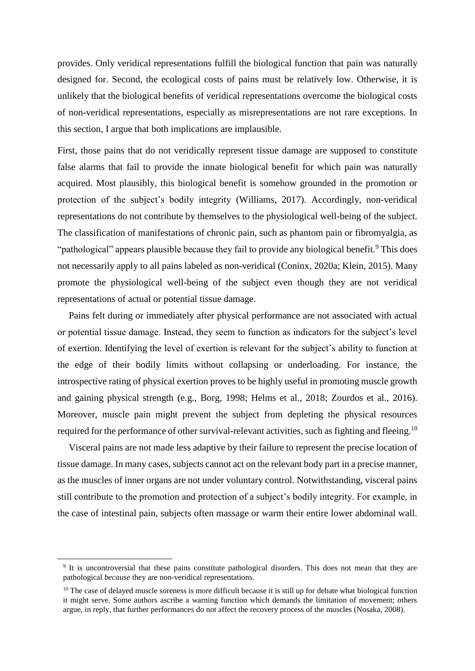provides. Only veridical representations fulfill the biological function that pain was naturally designed for. Second, the ecological costs of pains must be relatively low. Otherwise, it is unlikely that the biological benefits of veridical representations overcome the biological costs of non-veridical representations, especially as misrepresentations are not rare exceptions. In this section, I argue that both implications are implausible.

First, those pains that do not veridically represent tissue damage are supposed to constitute false alarms that fail to provide the innate biological benefit for which pain was naturally acquired. Most plausibly, this biological benefit is somehow grounded in the promotion or protection of the subject's bodily integrity (Williams, 2017). Accordingly, non-veridical representations do not contribute by themselves to the physiological well-being of the subject. The classification of manifestations of chronic pain, such as phantom pain or fibromyalgia, as "pathological" appears plausible because they fail to provide any biological benefit.<sup>9</sup> This does not necessarily apply to all pains labeled as non-veridical (Coninx, 2020a; Klein, 2015). Many promote the physiological well-being of the subject even though they are not veridical representations of actual or potential tissue damage.

Pains felt during or immediately after physical performance are not associated with actual or potential tissue damage. Instead, they seem to function as indicators for the subject's level of exertion. Identifying the level of exertion is relevant for the subject's ability to function at the edge of their bodily limits without collapsing or underloading. For instance, the introspective rating of physical exertion proves to be highly useful in promoting muscle growth and gaining physical strength (e.g., Borg, 1998; Helms et al., 2018; Zourdos et al., 2016). Moreover, muscle pain might prevent the subject from depleting the physical resources required for the performance of other survival-relevant activities, such as fighting and fleeing.<sup>10</sup>

Visceral pains are not made less adaptive by their failure to represent the precise location of tissue damage. In many cases, subjects cannot act on the relevant body part in a precise manner, as the muscles of inner organs are not under voluntary control. Notwithstanding, visceral pains still contribute to the promotion and protection of a subject's bodily integrity. For example, in the case of intestinal pain, subjects often massage or warm their entire lower abdominal wall.

1

<sup>&</sup>lt;sup>9</sup> It is uncontroversial that these pains constitute pathological disorders. This does not mean that they are pathological *because* they are non-veridical representations.

 $10$  The case of delayed muscle soreness is more difficult because it is still up for debate what biological function it might serve. Some authors ascribe a warning function which demands the limitation of movement; others argue, in reply, that further performances do not affect the recovery process of the muscles (Nosaka, 2008).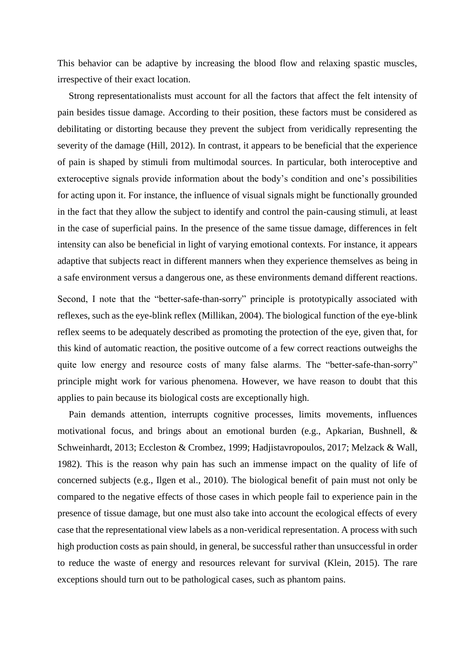This behavior can be adaptive by increasing the blood flow and relaxing spastic muscles, irrespective of their exact location.

Strong representationalists must account for all the factors that affect the felt intensity of pain besides tissue damage. According to their position, these factors must be considered as debilitating or distorting because they prevent the subject from veridically representing the severity of the damage (Hill, 2012). In contrast, it appears to be beneficial that the experience of pain is shaped by stimuli from multimodal sources. In particular, both interoceptive and exteroceptive signals provide information about the body's condition and one's possibilities for acting upon it. For instance, the influence of visual signals might be functionally grounded in the fact that they allow the subject to identify and control the pain-causing stimuli, at least in the case of superficial pains. In the presence of the same tissue damage, differences in felt intensity can also be beneficial in light of varying emotional contexts. For instance, it appears adaptive that subjects react in different manners when they experience themselves as being in a safe environment versus a dangerous one, as these environments demand different reactions.

Second, I note that the "better-safe-than-sorry" principle is prototypically associated with reflexes, such as the eye-blink reflex (Millikan, 2004). The biological function of the eye-blink reflex seems to be adequately described as promoting the protection of the eye, given that, for this kind of automatic reaction, the positive outcome of a few correct reactions outweighs the quite low energy and resource costs of many false alarms. The "better-safe-than-sorry" principle might work for various phenomena. However, we have reason to doubt that this applies to pain because its biological costs are exceptionally high.

Pain demands attention, interrupts cognitive processes, limits movements, influences motivational focus, and brings about an emotional burden (e.g., Apkarian, Bushnell, & Schweinhardt, 2013; Eccleston & Crombez, 1999; Hadjistavropoulos, 2017; Melzack & Wall, 1982). This is the reason why pain has such an immense impact on the quality of life of concerned subjects (e.g., Ilgen et al., 2010). The biological benefit of pain must not only be compared to the negative effects of those cases in which people fail to experience pain in the presence of tissue damage, but one must also take into account the ecological effects of every case that the representational view labels as a non-veridical representation. A process with such high production costs as pain should, in general, be successful rather than unsuccessful in order to reduce the waste of energy and resources relevant for survival (Klein, 2015). The rare exceptions should turn out to be pathological cases, such as phantom pains.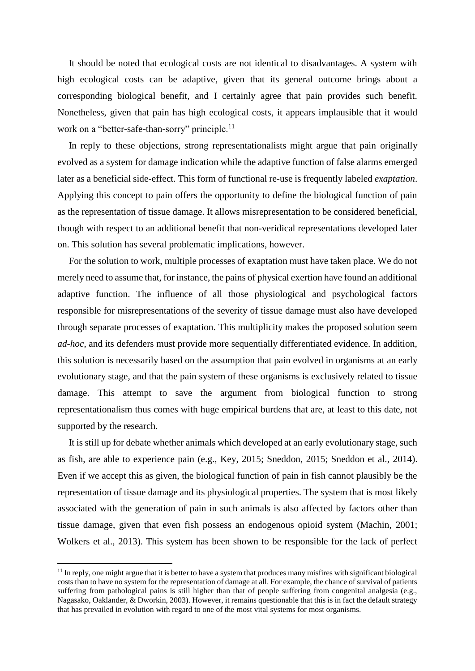It should be noted that ecological costs are not identical to disadvantages. A system with high ecological costs can be adaptive, given that its general outcome brings about a corresponding biological benefit, and I certainly agree that pain provides such benefit. Nonetheless, given that pain has high ecological costs, it appears implausible that it would work on a "better-safe-than-sorry" principle.<sup>11</sup>

In reply to these objections, strong representationalists might argue that pain originally evolved as a system for damage indication while the adaptive function of false alarms emerged later as a beneficial side-effect. This form of functional re-use is frequently labeled *exaptation*. Applying this concept to pain offers the opportunity to define the biological function of pain as the representation of tissue damage. It allows misrepresentation to be considered beneficial, though with respect to an additional benefit that non-veridical representations developed later on. This solution has several problematic implications, however.

For the solution to work, multiple processes of exaptation must have taken place. We do not merely need to assume that, for instance, the pains of physical exertion have found an additional adaptive function. The influence of all those physiological and psychological factors responsible for misrepresentations of the severity of tissue damage must also have developed through separate processes of exaptation. This multiplicity makes the proposed solution seem *ad-hoc*, and its defenders must provide more sequentially differentiated evidence. In addition, this solution is necessarily based on the assumption that pain evolved in organisms at an early evolutionary stage, and that the pain system of these organisms is exclusively related to tissue damage. This attempt to save the argument from biological function to strong representationalism thus comes with huge empirical burdens that are, at least to this date, not supported by the research.

It is still up for debate whether animals which developed at an early evolutionary stage, such as fish, are able to experience pain (e.g., Key, 2015; Sneddon, 2015; Sneddon et al., 2014). Even if we accept this as given, the biological function of pain in fish cannot plausibly be the representation of tissue damage and its physiological properties. The system that is most likely associated with the generation of pain in such animals is also affected by factors other than tissue damage, given that even fish possess an endogenous opioid system (Machin, 2001; Wolkers et al., 2013). This system has been shown to be responsible for the lack of perfect

1

 $11$  In reply, one might argue that it is better to have a system that produces many misfires with significant biological costs than to have no system for the representation of damage at all. For example, the chance of survival of patients suffering from pathological pains is still higher than that of people suffering from congenital analgesia (e.g., Nagasako, Oaklander, & Dworkin, 2003). However, it remains questionable that this is in fact the default strategy that has prevailed in evolution with regard to one of the most vital systems for most organisms.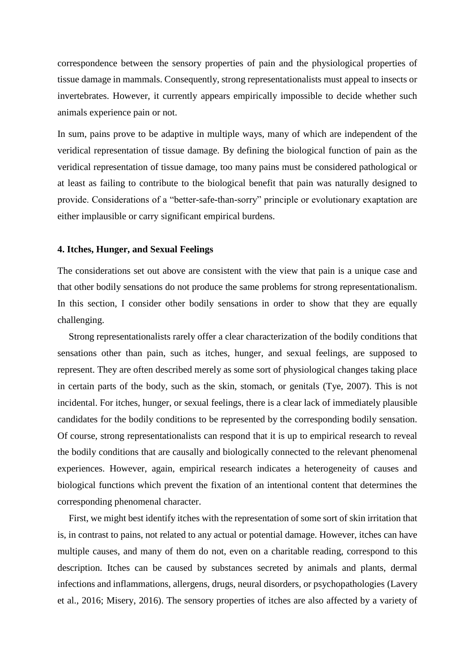correspondence between the sensory properties of pain and the physiological properties of tissue damage in mammals. Consequently, strong representationalists must appeal to insects or invertebrates. However, it currently appears empirically impossible to decide whether such animals experience pain or not.

In sum, pains prove to be adaptive in multiple ways, many of which are independent of the veridical representation of tissue damage. By defining the biological function of pain as the veridical representation of tissue damage, too many pains must be considered pathological or at least as failing to contribute to the biological benefit that pain was naturally designed to provide. Considerations of a "better-safe-than-sorry" principle or evolutionary exaptation are either implausible or carry significant empirical burdens.

#### **4. Itches, Hunger, and Sexual Feelings**

The considerations set out above are consistent with the view that pain is a unique case and that other bodily sensations do not produce the same problems for strong representationalism. In this section, I consider other bodily sensations in order to show that they are equally challenging.

Strong representationalists rarely offer a clear characterization of the bodily conditions that sensations other than pain, such as itches, hunger, and sexual feelings, are supposed to represent. They are often described merely as some sort of physiological changes taking place in certain parts of the body, such as the skin, stomach, or genitals (Tye, 2007). This is not incidental. For itches, hunger, or sexual feelings, there is a clear lack of immediately plausible candidates for the bodily conditions to be represented by the corresponding bodily sensation. Of course, strong representationalists can respond that it is up to empirical research to reveal the bodily conditions that are causally and biologically connected to the relevant phenomenal experiences. However, again, empirical research indicates a heterogeneity of causes and biological functions which prevent the fixation of an intentional content that determines the corresponding phenomenal character.

First, we might best identify itches with the representation of some sort of skin irritation that is, in contrast to pains, not related to any actual or potential damage. However, itches can have multiple causes, and many of them do not, even on a charitable reading, correspond to this description. Itches can be caused by substances secreted by animals and plants, dermal infections and inflammations, allergens, drugs, neural disorders, or psychopathologies (Lavery et al., 2016; Misery, 2016). The sensory properties of itches are also affected by a variety of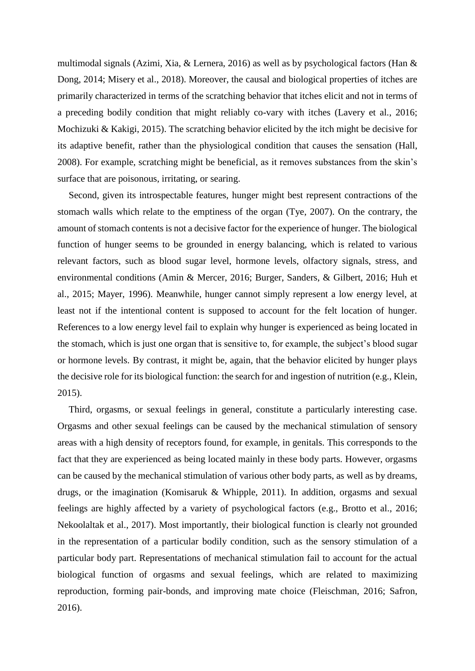multimodal signals (Azimi, Xia, & Lernera, 2016) as well as by psychological factors (Han & Dong, 2014; Misery et al., 2018). Moreover, the causal and biological properties of itches are primarily characterized in terms of the scratching behavior that itches elicit and not in terms of a preceding bodily condition that might reliably co-vary with itches (Lavery et al., 2016; Mochizuki & Kakigi, 2015). The scratching behavior elicited by the itch might be decisive for its adaptive benefit, rather than the physiological condition that causes the sensation (Hall, 2008). For example, scratching might be beneficial, as it removes substances from the skin's surface that are poisonous, irritating, or searing.

Second, given its introspectable features, hunger might best represent contractions of the stomach walls which relate to the emptiness of the organ (Tye, 2007). On the contrary, the amount of stomach contents is not a decisive factor for the experience of hunger. The biological function of hunger seems to be grounded in energy balancing, which is related to various relevant factors, such as blood sugar level, hormone levels, olfactory signals, stress, and environmental conditions (Amin & Mercer, 2016; Burger, Sanders, & Gilbert, 2016; Huh et al., 2015; Mayer, 1996). Meanwhile, hunger cannot simply represent a low energy level, at least not if the intentional content is supposed to account for the felt location of hunger. References to a low energy level fail to explain why hunger is experienced as being located in the stomach, which is just one organ that is sensitive to, for example, the subject's blood sugar or hormone levels. By contrast, it might be, again, that the behavior elicited by hunger plays the decisive role for its biological function: the search for and ingestion of nutrition (e.g., Klein, 2015).

Third, orgasms, or sexual feelings in general, constitute a particularly interesting case. Orgasms and other sexual feelings can be caused by the mechanical stimulation of sensory areas with a high density of receptors found, for example, in genitals. This corresponds to the fact that they are experienced as being located mainly in these body parts. However, orgasms can be caused by the mechanical stimulation of various other body parts, as well as by dreams, drugs, or the imagination (Komisaruk & Whipple, 2011). In addition, orgasms and sexual feelings are highly affected by a variety of psychological factors (e.g., Brotto et al., 2016; Nekoolaltak et al., 2017). Most importantly, their biological function is clearly not grounded in the representation of a particular bodily condition, such as the sensory stimulation of a particular body part. Representations of mechanical stimulation fail to account for the actual biological function of orgasms and sexual feelings, which are related to maximizing reproduction, forming pair-bonds, and improving mate choice (Fleischman, 2016; Safron, 2016).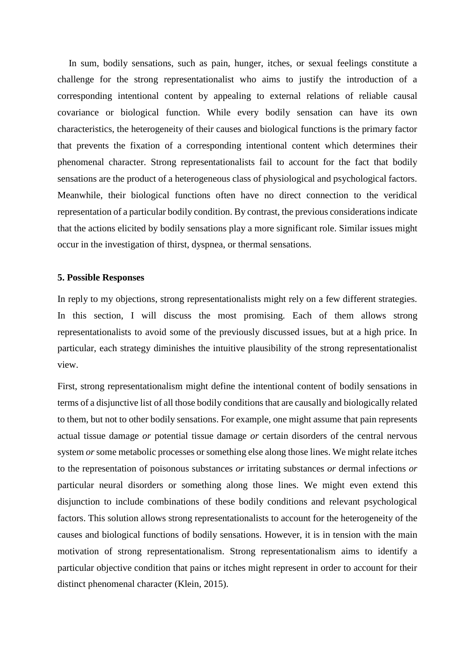In sum, bodily sensations, such as pain, hunger, itches, or sexual feelings constitute a challenge for the strong representationalist who aims to justify the introduction of a corresponding intentional content by appealing to external relations of reliable causal covariance or biological function. While every bodily sensation can have its own characteristics, the heterogeneity of their causes and biological functions is the primary factor that prevents the fixation of a corresponding intentional content which determines their phenomenal character. Strong representationalists fail to account for the fact that bodily sensations are the product of a heterogeneous class of physiological and psychological factors. Meanwhile, their biological functions often have no direct connection to the veridical representation of a particular bodily condition. By contrast, the previous considerations indicate that the actions elicited by bodily sensations play a more significant role. Similar issues might occur in the investigation of thirst, dyspnea, or thermal sensations.

#### **5. Possible Responses**

In reply to my objections, strong representationalists might rely on a few different strategies. In this section, I will discuss the most promising. Each of them allows strong representationalists to avoid some of the previously discussed issues, but at a high price. In particular, each strategy diminishes the intuitive plausibility of the strong representationalist view.

First, strong representationalism might define the intentional content of bodily sensations in terms of a disjunctive list of all those bodily conditions that are causally and biologically related to them, but not to other bodily sensations. For example, one might assume that pain represents actual tissue damage *or* potential tissue damage *or* certain disorders of the central nervous system *or* some metabolic processes or something else along those lines. We might relate itches to the representation of poisonous substances *or* irritating substances *or* dermal infections *or* particular neural disorders or something along those lines. We might even extend this disjunction to include combinations of these bodily conditions and relevant psychological factors. This solution allows strong representationalists to account for the heterogeneity of the causes and biological functions of bodily sensations. However, it is in tension with the main motivation of strong representationalism. Strong representationalism aims to identify a particular objective condition that pains or itches might represent in order to account for their distinct phenomenal character (Klein, 2015).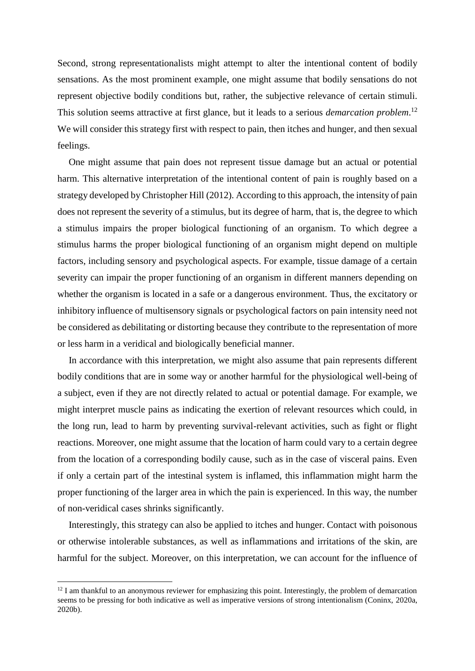Second, strong representationalists might attempt to alter the intentional content of bodily sensations. As the most prominent example, one might assume that bodily sensations do not represent objective bodily conditions but, rather, the subjective relevance of certain stimuli. This solution seems attractive at first glance, but it leads to a serious *demarcation problem*. 12 We will consider this strategy first with respect to pain, then itches and hunger, and then sexual feelings.

One might assume that pain does not represent tissue damage but an actual or potential harm. This alternative interpretation of the intentional content of pain is roughly based on a strategy developed by Christopher Hill (2012). According to this approach, the intensity of pain does not represent the severity of a stimulus, but its degree of harm, that is, the degree to which a stimulus impairs the proper biological functioning of an organism. To which degree a stimulus harms the proper biological functioning of an organism might depend on multiple factors, including sensory and psychological aspects. For example, tissue damage of a certain severity can impair the proper functioning of an organism in different manners depending on whether the organism is located in a safe or a dangerous environment. Thus, the excitatory or inhibitory influence of multisensory signals or psychological factors on pain intensity need not be considered as debilitating or distorting because they contribute to the representation of more or less harm in a veridical and biologically beneficial manner.

In accordance with this interpretation, we might also assume that pain represents different bodily conditions that are in some way or another harmful for the physiological well-being of a subject, even if they are not directly related to actual or potential damage. For example, we might interpret muscle pains as indicating the exertion of relevant resources which could, in the long run, lead to harm by preventing survival-relevant activities, such as fight or flight reactions. Moreover, one might assume that the location of harm could vary to a certain degree from the location of a corresponding bodily cause, such as in the case of visceral pains. Even if only a certain part of the intestinal system is inflamed, this inflammation might harm the proper functioning of the larger area in which the pain is experienced. In this way, the number of non-veridical cases shrinks significantly.

Interestingly, this strategy can also be applied to itches and hunger. Contact with poisonous or otherwise intolerable substances, as well as inflammations and irritations of the skin, are harmful for the subject. Moreover, on this interpretation, we can account for the influence of

 $\overline{a}$ 

 $12$  I am thankful to an anonymous reviewer for emphasizing this point. Interestingly, the problem of demarcation seems to be pressing for both indicative as well as imperative versions of strong intentionalism (Coninx, 2020a, 2020b).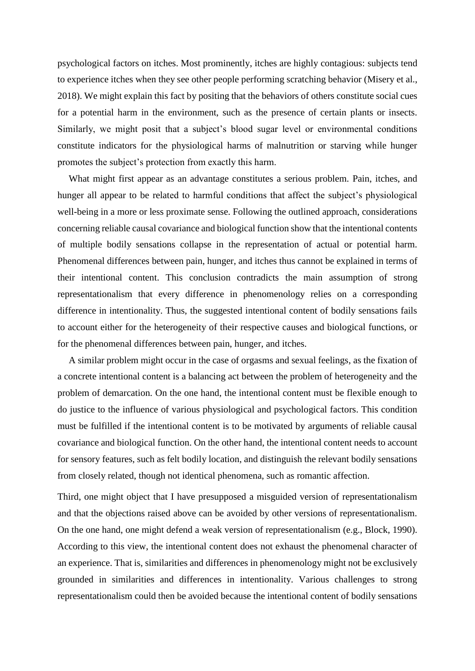psychological factors on itches. Most prominently, itches are highly contagious: subjects tend to experience itches when they see other people performing scratching behavior (Misery et al., 2018). We might explain this fact by positing that the behaviors of others constitute social cues for a potential harm in the environment, such as the presence of certain plants or insects. Similarly, we might posit that a subject's blood sugar level or environmental conditions constitute indicators for the physiological harms of malnutrition or starving while hunger promotes the subject's protection from exactly this harm.

What might first appear as an advantage constitutes a serious problem. Pain, itches, and hunger all appear to be related to harmful conditions that affect the subject's physiological well-being in a more or less proximate sense. Following the outlined approach, considerations concerning reliable causal covariance and biological function show that the intentional contents of multiple bodily sensations collapse in the representation of actual or potential harm. Phenomenal differences between pain, hunger, and itches thus cannot be explained in terms of their intentional content. This conclusion contradicts the main assumption of strong representationalism that every difference in phenomenology relies on a corresponding difference in intentionality. Thus, the suggested intentional content of bodily sensations fails to account either for the heterogeneity of their respective causes and biological functions, or for the phenomenal differences between pain, hunger, and itches.

A similar problem might occur in the case of orgasms and sexual feelings, as the fixation of a concrete intentional content is a balancing act between the problem of heterogeneity and the problem of demarcation. On the one hand, the intentional content must be flexible enough to do justice to the influence of various physiological and psychological factors. This condition must be fulfilled if the intentional content is to be motivated by arguments of reliable causal covariance and biological function. On the other hand, the intentional content needs to account for sensory features, such as felt bodily location, and distinguish the relevant bodily sensations from closely related, though not identical phenomena, such as romantic affection.

Third, one might object that I have presupposed a misguided version of representationalism and that the objections raised above can be avoided by other versions of representationalism. On the one hand, one might defend a weak version of representationalism (e.g., Block, 1990). According to this view, the intentional content does not exhaust the phenomenal character of an experience. That is, similarities and differences in phenomenology might not be exclusively grounded in similarities and differences in intentionality. Various challenges to strong representationalism could then be avoided because the intentional content of bodily sensations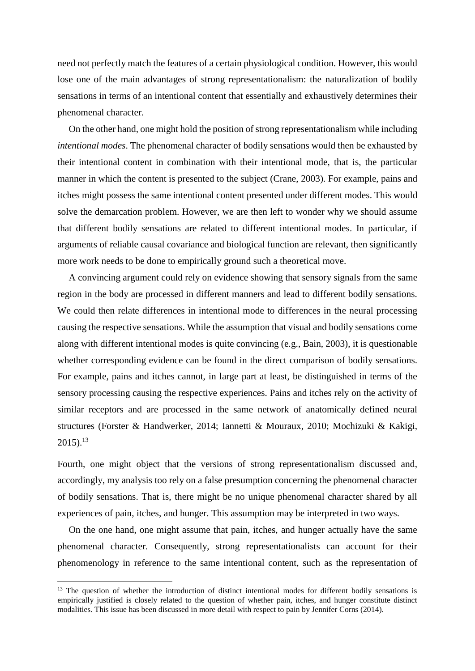need not perfectly match the features of a certain physiological condition. However, this would lose one of the main advantages of strong representationalism: the naturalization of bodily sensations in terms of an intentional content that essentially and exhaustively determines their phenomenal character.

On the other hand, one might hold the position of strong representationalism while including *intentional modes*. The phenomenal character of bodily sensations would then be exhausted by their intentional content in combination with their intentional mode, that is, the particular manner in which the content is presented to the subject (Crane, 2003). For example, pains and itches might possess the same intentional content presented under different modes. This would solve the demarcation problem. However, we are then left to wonder why we should assume that different bodily sensations are related to different intentional modes. In particular, if arguments of reliable causal covariance and biological function are relevant, then significantly more work needs to be done to empirically ground such a theoretical move.

A convincing argument could rely on evidence showing that sensory signals from the same region in the body are processed in different manners and lead to different bodily sensations. We could then relate differences in intentional mode to differences in the neural processing causing the respective sensations. While the assumption that visual and bodily sensations come along with different intentional modes is quite convincing (e.g., Bain, 2003), it is questionable whether corresponding evidence can be found in the direct comparison of bodily sensations. For example, pains and itches cannot, in large part at least, be distinguished in terms of the sensory processing causing the respective experiences. Pains and itches rely on the activity of similar receptors and are processed in the same network of anatomically defined neural structures (Forster & Handwerker, 2014; Iannetti & Mouraux, 2010; Mochizuki & Kakigi,  $2015$ ).<sup>13</sup>

Fourth, one might object that the versions of strong representationalism discussed and, accordingly, my analysis too rely on a false presumption concerning the phenomenal character of bodily sensations. That is, there might be no unique phenomenal character shared by all experiences of pain, itches, and hunger. This assumption may be interpreted in two ways.

On the one hand, one might assume that pain, itches, and hunger actually have the same phenomenal character. Consequently, strong representationalists can account for their phenomenology in reference to the same intentional content, such as the representation of

 $\overline{a}$ 

<sup>&</sup>lt;sup>13</sup> The question of whether the introduction of distinct intentional modes for different bodily sensations is empirically justified is closely related to the question of whether pain, itches, and hunger constitute distinct modalities. This issue has been discussed in more detail with respect to pain by Jennifer Corns (2014).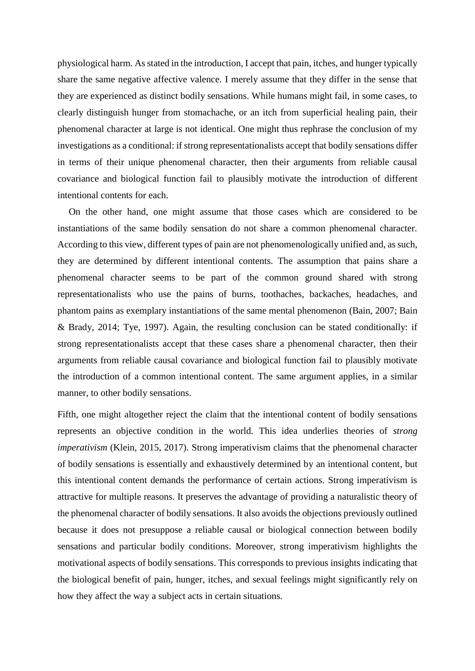physiological harm. As stated in the introduction, I accept that pain, itches, and hunger typically share the same negative affective valence. I merely assume that they differ in the sense that they are experienced as distinct bodily sensations. While humans might fail, in some cases, to clearly distinguish hunger from stomachache, or an itch from superficial healing pain, their phenomenal character at large is not identical. One might thus rephrase the conclusion of my investigations as a conditional: if strong representationalists accept that bodily sensations differ in terms of their unique phenomenal character, then their arguments from reliable causal covariance and biological function fail to plausibly motivate the introduction of different intentional contents for each.

On the other hand, one might assume that those cases which are considered to be instantiations of the same bodily sensation do not share a common phenomenal character. According to this view, different types of pain are not phenomenologically unified and, as such, they are determined by different intentional contents. The assumption that pains share a phenomenal character seems to be part of the common ground shared with strong representationalists who use the pains of burns, toothaches, backaches, headaches, and phantom pains as exemplary instantiations of the same mental phenomenon (Bain, 2007; Bain & Brady, 2014; Tye, 1997). Again, the resulting conclusion can be stated conditionally: if strong representationalists accept that these cases share a phenomenal character, then their arguments from reliable causal covariance and biological function fail to plausibly motivate the introduction of a common intentional content. The same argument applies, in a similar manner, to other bodily sensations.

Fifth, one might altogether reject the claim that the intentional content of bodily sensations represents an objective condition in the world. This idea underlies theories of *strong imperativism* (Klein, 2015, 2017). Strong imperativism claims that the phenomenal character of bodily sensations is essentially and exhaustively determined by an intentional content, but this intentional content demands the performance of certain actions. Strong imperativism is attractive for multiple reasons. It preserves the advantage of providing a naturalistic theory of the phenomenal character of bodily sensations. It also avoids the objections previously outlined because it does not presuppose a reliable causal or biological connection between bodily sensations and particular bodily conditions. Moreover, strong imperativism highlights the motivational aspects of bodily sensations. This corresponds to previous insights indicating that the biological benefit of pain, hunger, itches, and sexual feelings might significantly rely on how they affect the way a subject acts in certain situations.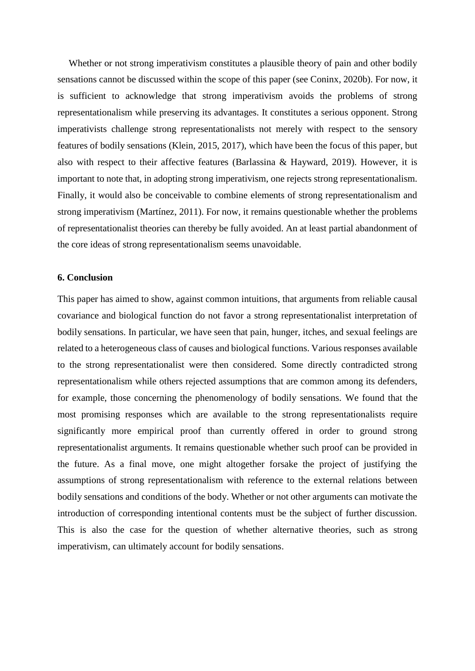Whether or not strong imperativism constitutes a plausible theory of pain and other bodily sensations cannot be discussed within the scope of this paper (see Coninx, 2020b). For now, it is sufficient to acknowledge that strong imperativism avoids the problems of strong representationalism while preserving its advantages. It constitutes a serious opponent. Strong imperativists challenge strong representationalists not merely with respect to the sensory features of bodily sensations (Klein, 2015, 2017), which have been the focus of this paper, but also with respect to their affective features (Barlassina & Hayward, 2019). However, it is important to note that, in adopting strong imperativism, one rejects strong representationalism. Finally, it would also be conceivable to combine elements of strong representationalism and strong imperativism (Martínez, 2011). For now, it remains questionable whether the problems of representationalist theories can thereby be fully avoided. An at least partial abandonment of the core ideas of strong representationalism seems unavoidable.

#### **6. Conclusion**

This paper has aimed to show, against common intuitions, that arguments from reliable causal covariance and biological function do not favor a strong representationalist interpretation of bodily sensations. In particular, we have seen that pain, hunger, itches, and sexual feelings are related to a heterogeneous class of causes and biological functions. Various responses available to the strong representationalist were then considered. Some directly contradicted strong representationalism while others rejected assumptions that are common among its defenders, for example, those concerning the phenomenology of bodily sensations. We found that the most promising responses which are available to the strong representationalists require significantly more empirical proof than currently offered in order to ground strong representationalist arguments. It remains questionable whether such proof can be provided in the future. As a final move, one might altogether forsake the project of justifying the assumptions of strong representationalism with reference to the external relations between bodily sensations and conditions of the body. Whether or not other arguments can motivate the introduction of corresponding intentional contents must be the subject of further discussion. This is also the case for the question of whether alternative theories, such as strong imperativism, can ultimately account for bodily sensations.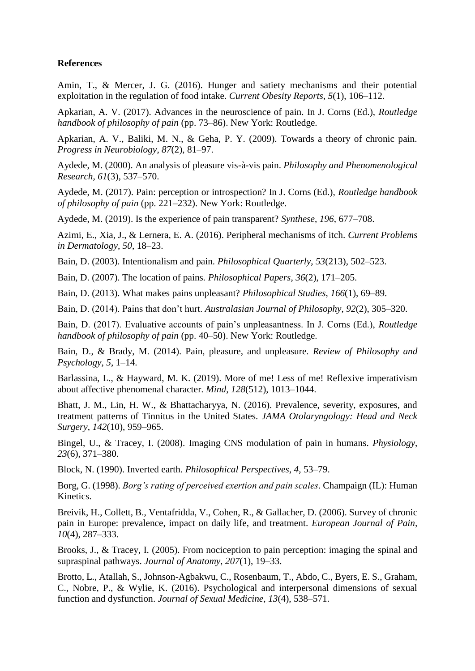### **References**

Amin, T., & Mercer, J. G. (2016). Hunger and satiety mechanisms and their potential exploitation in the regulation of food intake. *Current Obesity Reports*, *5*(1), 106–112.

Apkarian, A. V. (2017). Advances in the neuroscience of pain. In J. Corns (Ed.), *Routledge handbook of philosophy of pain* (pp. 73–86). New York: Routledge.

Apkarian, A. V., Baliki, M. N., & Geha, P. Y. (2009). Towards a theory of chronic pain. *Progress in Neurobiology*, *87*(2), 81–97.

Aydede, M. (2000). An analysis of pleasure vis-à-vis pain. *Philosophy and Phenomenological Research*, *61*(3), 537–570.

Aydede, M. (2017). Pain: perception or introspection? In J. Corns (Ed.), *Routledge handbook of philosophy of pain* (pp. 221–232). New York: Routledge.

Aydede, M. (2019). Is the experience of pain transparent? *Synthese*, *196*, 677–708.

Azimi, E., Xia, J., & Lernera, E. A. (2016). Peripheral mechanisms of itch. *Current Problems in Dermatology*, *50*, 18–23.

Bain, D. (2003). Intentionalism and pain. *Philosophical Quarterly*, *53*(213), 502–523.

Bain, D. (2007). The location of pains*. Philosophical Papers*, *36*(2), 171–205.

Bain, D. (2013). What makes pains unpleasant? *Philosophical Studies*, *166*(1), 69–89.

Bain, D. (2014). Pains that don't hurt. *Australasian Journal of Philosophy*, *92*(2), 305–320.

Bain, D. (2017). Evaluative accounts of pain's unpleasantness. In J. Corns (Ed.), *Routledge handbook of philosophy of pain* (pp. 40–50). New York: Routledge.

Bain, D., & Brady, M. (2014). Pain, pleasure, and unpleasure. *Review of Philosophy and Psychology*, *5*, 1–14.

Barlassina, L., & Hayward, M. K. (2019). More of me! Less of me! Reflexive imperativism about affective phenomenal character. *Mind*, *128*(512), 1013–1044.

Bhatt, J. M., Lin, H. W., & Bhattacharyya, N. (2016). Prevalence, severity, exposures, and treatment patterns of Tinnitus in the United States. *JAMA Otolaryngology: Head and Neck Surgery*, *142*(10), 959–965.

Bingel, U., & Tracey, I. (2008). Imaging CNS modulation of pain in humans. *Physiology*, *23*(6), 371–380.

Block, N. (1990). Inverted earth. *Philosophical Perspectives*, *4*, 53–79.

Borg, G. (1998). *Borg's rating of perceived exertion and pain scales*. Champaign (IL): Human Kinetics.

Breivik, H., Collett, B., Ventafridda, V., Cohen, R., & Gallacher, D. (2006). Survey of chronic pain in Europe: prevalence, impact on daily life, and treatment. *European Journal of Pain, 10*(4), 287–333.

Brooks, J., & Tracey, I. (2005). From nociception to pain perception: imaging the spinal and supraspinal pathways. *Journal of Anatomy*, *207*(1), 19–33.

Brotto, L., Atallah, S., Johnson-Agbakwu, C., Rosenbaum, T., Abdo, C., Byers, E. S., Graham, C., Nobre, P., & Wylie, K. (2016). Psychological and interpersonal dimensions of sexual function and dysfunction. *Journal of Sexual Medicine*, *13*(4), 538–571.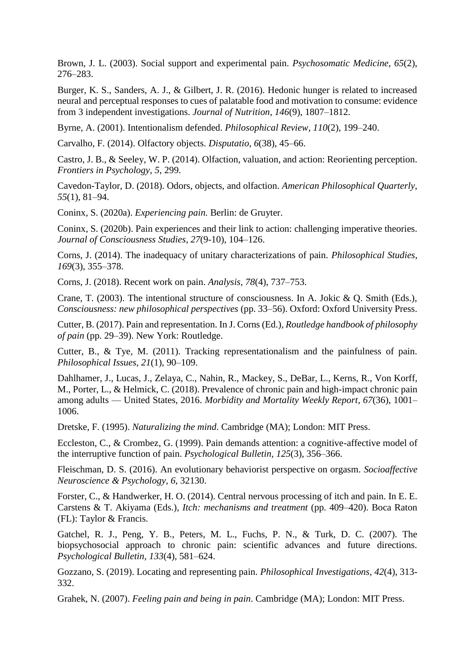Brown, J. L. (2003). Social support and experimental pain. *Psychosomatic Medicine*, *65*(2), 276–283.

Burger, K. S., Sanders, A. J., & Gilbert, J. R. (2016). Hedonic hunger is related to increased neural and perceptual responses to cues of palatable food and motivation to consume: evidence from 3 independent investigations. *Journal of Nutrition*, *146*(9), 1807–1812.

Byrne, A. (2001). Intentionalism defended. *Philosophical Review*, *110*(2), 199–240.

Carvalho, F. (2014). Olfactory objects. *Disputatio*, *6*(38), 45–66.

Castro, J. B., & Seeley, W. P. (2014). Olfaction, valuation, and action: Reorienting perception. *Frontiers in Psychology*, *5*, 299.

Cavedon-Taylor, D. (2018). Odors, objects, and olfaction. *American Philosophical Quarterly*, *55*(1), 81–94.

Coninx, S. (2020a). *Experiencing pain.* Berlin: de Gruyter.

Coninx, S. (2020b). Pain experiences and their link to action: challenging imperative theories. *Journal of Consciousness Studies*, *27*(9-10), 104–126.

Corns, J. (2014). The inadequacy of unitary characterizations of pain. *Philosophical Studies*, *169*(3), 355–378.

Corns, J. (2018). Recent work on pain. *Analysis*, *78*(4), 737–753.

Crane, T. (2003). The intentional structure of consciousness. In A. Jokic & Q. Smith (Eds.), *Consciousness: new philosophical perspectives* (pp. 33–56). Oxford: Oxford University Press.

Cutter, B. (2017). Pain and representation. In J. Corns (Ed.), *Routledge handbook of philosophy of pain* (pp. 29–39). New York: Routledge.

Cutter, B., & Tye, M. (2011). Tracking representationalism and the painfulness of pain. *Philosophical Issues*, *21*(1), 90–109.

Dahlhamer, J., Lucas, J., Zelaya, C., Nahin, R., Mackey, S., DeBar, L., Kerns, R., Von Korff, M., Porter, L., & Helmick, C. (2018). Prevalence of chronic pain and high-impact chronic pain among adults — United States, 2016. *Morbidity and Mortality Weekly Report*, *67*(36), 1001– 1006.

Dretske, F. (1995). *Naturalizing the mind*. Cambridge (MA); London: MIT Press.

Eccleston, C., & Crombez, G. (1999). Pain demands attention: a cognitive-affective model of the interruptive function of pain. *Psychological Bulletin*, *125*(3), 356–366.

Fleischman, D. S. (2016). An evolutionary behaviorist perspective on orgasm. *Socioaffective Neuroscience & Psychology*, *6*, 32130.

Forster, C., & Handwerker, H. O. (2014). Central nervous processing of itch and pain. In E. E. Carstens & T. Akiyama (Eds.), *Itch: mechanisms and treatment* (pp. 409–420). Boca Raton (FL): Taylor & Francis.

Gatchel, R. J., Peng, Y. B., Peters, M. L., Fuchs, P. N., & Turk, D. C. (2007). The biopsychosocial approach to chronic pain: scientific advances and future directions. *Psychological Bulletin*, *133*(4), 581–624.

Gozzano, S. (2019). Locating and representing pain. *Philosophical Investigations*, *42*(4), 313- 332.

Grahek, N. (2007). *Feeling pain and being in pain*. Cambridge (MA); London: MIT Press.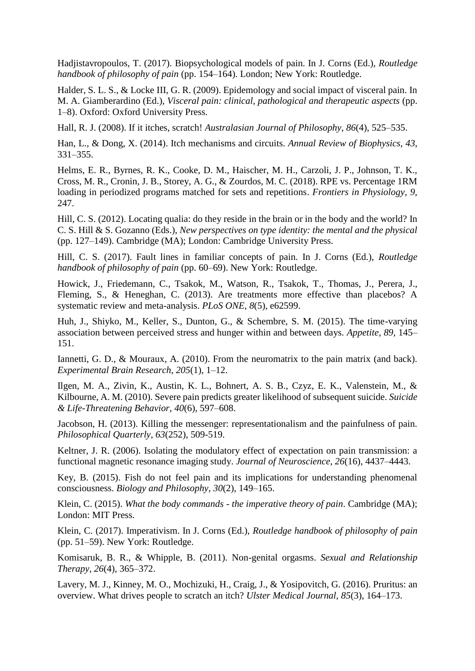Hadjistavropoulos, T. (2017). Biopsychological models of pain. In J. Corns (Ed.), *Routledge handbook of philosophy of pain* (pp. 154–164). London; New York: Routledge.

Halder, S. L. S., & Locke III, G. R. (2009). Epidemology and social impact of visceral pain. In M. A. Giamberardino (Ed.), *Visceral pain: clinical, pathological and therapeutic aspects* (pp. 1–8). Oxford: Oxford University Press.

Hall, R. J. (2008). If it itches, scratch! *Australasian Journal of Philosophy*, *86*(4), 525–535.

Han, L., & Dong, X. (2014). Itch mechanisms and circuits. *Annual Review of Biophysics*, *43*, 331–355.

Helms, E. R., Byrnes, R. K., Cooke, D. M., Haischer, M. H., Carzoli, J. P., Johnson, T. K., Cross, M. R., Cronin, J. B., Storey, A. G., & Zourdos, M. C. (2018). RPE vs. Percentage 1RM loading in periodized programs matched for sets and repetitions. *Frontiers in Physiology*, *9*, 247.

Hill, C. S. (2012). Locating qualia: do they reside in the brain or in the body and the world? In C. S. Hill & S. Gozanno (Eds.), *New perspectives on type identity: the mental and the physical*  (pp. 127–149). Cambridge (MA); London: Cambridge University Press.

Hill, C. S. (2017). Fault lines in familiar concepts of pain. In J. Corns (Ed.), *Routledge handbook of philosophy of pain* (pp. 60–69). New York: Routledge.

Howick, J., Friedemann, C., Tsakok, M., Watson, R., Tsakok, T., Thomas, J., Perera, J., Fleming, S., & Heneghan, C. (2013). Are treatments more effective than placebos? A systematic review and meta-analysis. *PLoS ONE*, *8*(5), e62599.

Huh, J., Shiyko, M., Keller, S., Dunton, G., & Schembre, S. M. (2015). The time-varying association between perceived stress and hunger within and between days*. Appetite*, *89*, 145– 151.

Iannetti, G. D., & Mouraux, A. (2010). From the neuromatrix to the pain matrix (and back). *Experimental Brain Research*, *205*(1), 1–12.

Ilgen, M. A., Zivin, K., Austin, K. L., Bohnert, A. S. B., Czyz, E. K., Valenstein, M., & Kilbourne, A. M. (2010). Severe pain predicts greater likelihood of subsequent suicide. *Suicide & Life-Threatening Behavior*, *40*(6), 597–608.

Jacobson, H. (2013). Killing the messenger: representationalism and the painfulness of pain. *Philosophical Quarterly*, *63*(252), 509-519.

Keltner, J. R. (2006). Isolating the modulatory effect of expectation on pain transmission: a functional magnetic resonance imaging study. *Journal of Neuroscience*, *26*(16), 4437–4443.

Key, B. (2015). Fish do not feel pain and its implications for understanding phenomenal consciousness. *Biology and Philosophy*, *30*(2), 149–165.

Klein, C. (2015). *What the body commands - the imperative theory of pain*. Cambridge (MA); London: MIT Press.

Klein, C. (2017). Imperativism. In J. Corns (Ed.), *Routledge handbook of philosophy of pain* (pp. 51–59). New York: Routledge.

Komisaruk, B. R., & Whipple, B. (2011). Non-genital orgasms. *Sexual and Relationship Therapy*, *26*(4), 365–372.

Lavery, M. J., Kinney, M. O., Mochizuki, H., Craig, J., & Yosipovitch, G. (2016). Pruritus: an overview. What drives people to scratch an itch? *Ulster Medical Journal*, *85*(3), 164–173.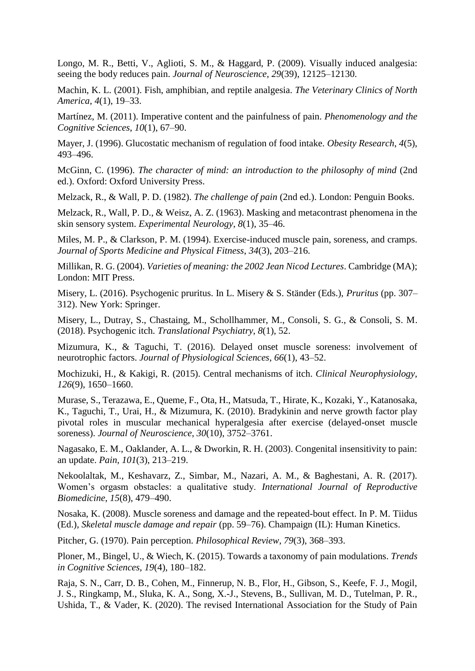Longo, M. R., Betti, V., Aglioti, S. M., & Haggard, P. (2009). Visually induced analgesia: seeing the body reduces pain. *Journal of Neuroscience*, *29*(39), 12125–12130.

Machin, K. L. (2001). Fish, amphibian, and reptile analgesia. *The Veterinary Clinics of North America*, *4*(1), 19–33.

Martínez, M. (2011). Imperative content and the painfulness of pain. *Phenomenology and the Cognitive Sciences*, *10*(1), 67–90.

Mayer, J. (1996). Glucostatic mechanism of regulation of food intake. *Obesity Research*, *4*(5), 493–496.

McGinn, C. (1996). *The character of mind: an introduction to the philosophy of mind* (2nd ed.). Oxford: Oxford University Press.

Melzack, R., & Wall, P. D. (1982). *The challenge of pain* (2nd ed.). London: Penguin Books.

Melzack, R., Wall, P. D., & Weisz, A. Z. (1963). Masking and metacontrast phenomena in the skin sensory system. *Experimental Neurology*, *8*(1), 35–46.

Miles, M. P., & Clarkson, P. M. (1994). Exercise-induced muscle pain, soreness, and cramps. *Journal of Sports Medicine and Physical Fitness*, *34*(3), 203–216.

Millikan, R. G. (2004). *Varieties of meaning: the 2002 Jean Nicod Lectures*. Cambridge (MA); London: MIT Press.

Misery, L. (2016). Psychogenic pruritus. In L. Misery & S. Ständer (Eds.), *Pruritus* (pp. 307– 312). New York: Springer.

Misery, L., Dutray, S., Chastaing, M., Schollhammer, M., Consoli, S. G., & Consoli, S. M. (2018). Psychogenic itch. *Translational Psychiatry*, *8*(1), 52.

Mizumura, K., & Taguchi, T. (2016). Delayed onset muscle soreness: involvement of neurotrophic factors. *Journal of Physiological Sciences*, *66*(1), 43–52.

Mochizuki, H., & Kakigi, R. (2015). Central mechanisms of itch. *Clinical Neurophysiology*, *126*(9), 1650–1660.

Murase, S., Terazawa, E., Queme, F., Ota, H., Matsuda, T., Hirate, K., Kozaki, Y., Katanosaka, K., Taguchi, T., Urai, H., & Mizumura, K. (2010). Bradykinin and nerve growth factor play pivotal roles in muscular mechanical hyperalgesia after exercise (delayed-onset muscle soreness). *Journal of Neuroscience*, *30*(10), 3752–3761.

Nagasako, E. M., Oaklander, A. L., & Dworkin, R. H. (2003). Congenital insensitivity to pain: an update. *Pain*, *101*(3), 213–219.

Nekoolaltak, M., Keshavarz, Z., Simbar, M., Nazari, A. M., & Baghestani, A. R. (2017). Women's orgasm obstacles: a qualitative study. *International Journal of Reproductive Biomedicine*, *15*(8), 479–490.

Nosaka, K. (2008). Muscle soreness and damage and the repeated-bout effect. In P. M. Tiidus (Ed.), *Skeletal muscle damage and repair* (pp. 59–76). Champaign (IL): Human Kinetics.

Pitcher, G. (1970). Pain perception. *Philosophical Review*, *79*(3), 368–393.

Ploner, M., Bingel, U., & Wiech, K. (2015). Towards a taxonomy of pain modulations. *Trends in Cognitive Sciences*, *19*(4), 180–182.

Raja, S. N., Carr, D. B., Cohen, M., Finnerup, N. B., Flor, H., Gibson, S., Keefe, F. J., Mogil, J. S., Ringkamp, M., Sluka, K. A., Song, X.-J., Stevens, B., Sullivan, M. D., Tutelman, P. R., Ushida, T., & Vader, K. (2020). The revised International Association for the Study of Pain